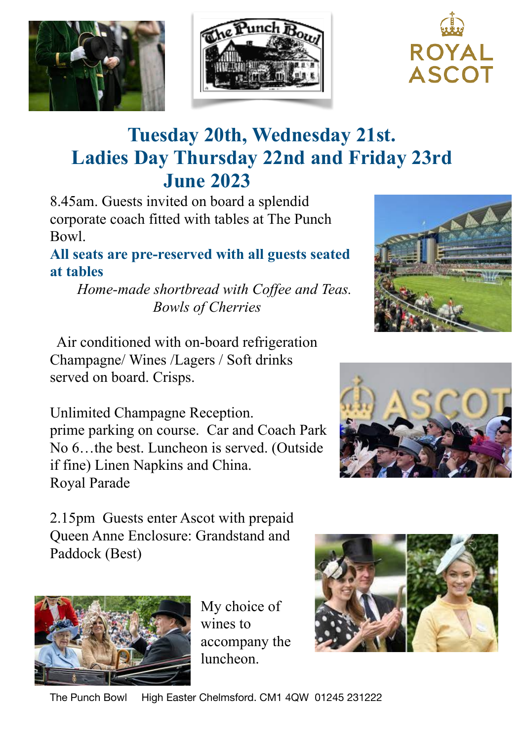





## **Tuesday 20th, Wednesday 21st. Ladies Day Thursday 22nd and Friday 23rd June 2023**

8.45am. Guests invited on board a splendid corporate coach fitted with tables at The Punch Bowl.

**All seats are pre-reserved with all guests seated at tables**

 *Home-made shortbread with Coffee and Teas. Bowls of Cherries*

 Air conditioned with on-board refrigeration Champagne/ Wines /Lagers / Soft drinks served on board. Crisps.

Unlimited Champagne Reception. prime parking on course. Car and Coach Park No 6…the best. Luncheon is served. (Outside if fine) Linen Napkins and China. Royal Parade

2.15pm Guests enter Ascot with prepaid Queen Anne Enclosure: Grandstand and Paddock (Best)



My choice of wines to accompany the luncheon.